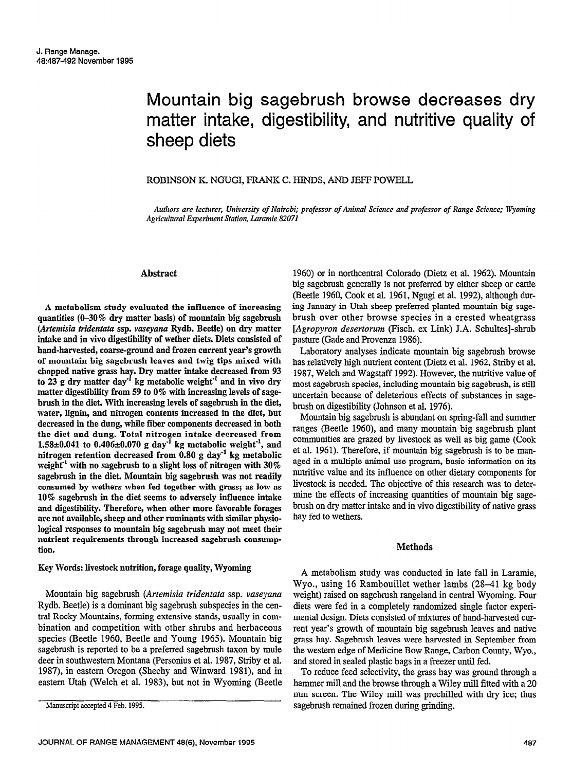# Mountain big sagebrush browse decreases dry matter intake, digestibility, and nutritive quality of sheep diets

# ROBINSON K. NGUGI, PRANK C. HINDS, AND JEFF POWELL

Auihors are lecturer, University of Nairobi; professor of Animal Science and professor of Range Science: Wyoming Agricultural Experiment Station, Laramie 82071

# Abstract

A metabolism study evaluated the influence of increasing quantities (O-30% dry matter basis) of mountain big sagebrush (Artemisia tridentata ssp. vaseyana Rydb. Beetle) on dry matter intake and in vivo digestibility of wether diets. Diets consisted of band-harvested, coarse-ground and frozen current year's growth of mountain big sagebrush leaves and twig tips mixed with chopped native grass hay. Dry matter intake decreased from 93 to 23 g dry matter day<sup>-1</sup> kg metabolic weight<sup>-1</sup> and in vivo dry matter digestibility from 59 to 0% with increasing levels of sagebrush in the diet. With increasing levels of sagebrush in the diet, water, lignin, and nitrogen contents increased in the diet, but decreased in the dung, while fiber components decreased in both the diet and dung. Total nitrogen intake decreased from  $1.58 + 0.041 + 0.406 + 0.070 + 1.071 + 0.11$  $1.30 \pm 0.041$  to  $0.400 \pm 0.010$  g day-kg metabolic weight, and nitrogen retention decreased from 0.80 g day<sup>-1</sup> kg metabolic<br>weight<sup>-1</sup> with no sagebrush to a slight loss of nitrogen with 30% sagebrush in the diet. Mountain big sagebrush was not readily sagebrush in the thet. Mountain big sagebrush was not reatiny consumed by wethers when fed together with grass; as low as  $10\%$  sagebrush in the diet seems to adversely influence intake and digestibility. Therefore, when other more favorable forages are not available, sheep and other ruminants with similar physiological responses to mountain big sagebrush may not meet their nutrient requirements through increased sagebrush consumption.

# Key Words: livestock nutrition, forage quality, Wyoming

Mountain big sagebrush (Artemisia tridentata ssp. vaseyana Mountain big sagebrush (A*rtemisia tridentata* ssp. v*aseyand* Rydb. Beetle) is a dominant big sagebrush subspecies in the central Rocky Mountains, forming extensive stands, usually in combination and competition with other shrubs and herbaceous species (Beetle 1960, Beetle and Young 1965). Mountain big sagebrush is reported to be a preferred sagebrush taxon by mule deer in southwestern Montana (Personius et al. 1987, Striby et al. 1987), in eastern Oregon (Sheehy and Winward 1981), and in eastern Utah (Welch et al. 1983), but not in Wyoming (Beetle

1960) or in nortbcentral Colorado (Dietz et al. 1962). Mountain big sagebrush generally is not preferred by either sheep or cattle (Beetle 1960, Cook et al. 1961, Ngugi et al. 1992), although during January in Utab sheep preferred planted mountain big sagebrush over other browse species in a crested wheatgrass [Agropyron desertorum (Fiscb. ex Link) J.A. Schultesl-shrub pasture (Gade and Provenza 1986).

Laboratory analyses indicate mountain big sagebrush browse has relatively high nutrient content (Dietz et al. 1962, Striby et al. 1987, Welch and Wagstaff 1992). However, the nutritive value of most sagebrush species, including mountain big sagebrush, is still uncertain because of deleterious effects of substances in sagebrush on digestibility (Johnson et al. 1976).

Mountain big sagebrush is abundant on spring-fall and summer ranges (Beetle 1960), and many mountain big sagebrush plant communities are grazed by different as well as a grazed by plant communities are grazed by livestock as well as big game (Cook et al. 1961). Therefore, if mountain big sagebrush is to be managed in a multiple animal use program, basic information on its nged in a manapic animal ase program, basic information on ns nutritive value and its influence on other dietary components for livestock is needed. The objective of this research was to determinestock to increase. The objective of this research was to deterbrush on dry matter intervention of native grass of native grass of native grass of native grass of native grass of native grass of native grass of native grass of native grass of native grass of native grass of native gra brush on dry matter intake and in vivo digestibility of native grass hay fed to wethers.

#### **Methods**

A metabolism study was conducted in late fall in Laramie, We are the 16 Rambou in the 16 Rambou in the 16 Rambourge lambs (28-41 kg body) in the 16 Rambourge land and the 16 Rambourge land and the 16 Rambou in the 16 Rambou in the 16 Rambou in the 16 Rambou in the 16 Rambou in th Wyo., using 16 Rambouillet wether lambs (28–41 kg body weight) raised on sagebrush rangeland in central Wyoming. Four diets were fed in a completely randomized single factor experimental design. Diets consisted of mixtures of hand-harvested current year's growth of mountain big sagebrush leaves and native grass hay. Sagebrush leaves were harvested in September from the western edge of Medicine Bow Range, Carbon County, Wyo... and stored in sealed plastic bags in a freezer until fed.

To reduce feed selectivity, the grass hay was ground through a hammer mill and the browse through a Wiley mill fitted with a 20 mm screen. The Wiley mill was prechilled with dry ice; thus sagebrush remained frozen during grinding.

Manuscript accepted 4 Feb. 1995.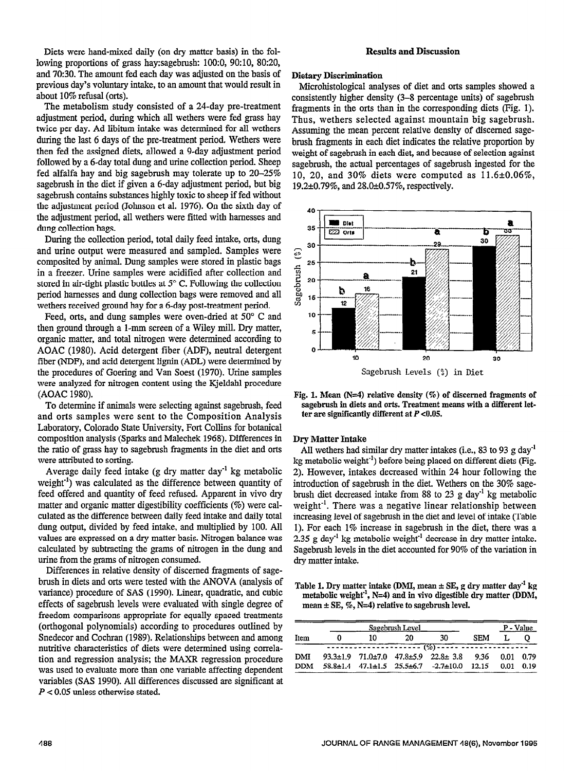Diets were hand-mixed daily (on dry matter basis) in the following proportions of grass hay:sagebrush: lOO:O, 90:10, 80:20, and 70:30. The amount fed each day was adjusted on the basis of previous day's voluntary intake, to an amount that would result in about 10% refusal (orts).

The metabolism study consisted of a 24-day pre-treatment adjustment period, during which all wethers were fed grass hay twice per day. Ad libitum intake was determined for all wethers during the last 6 days of the pre-treatment period. Wethers were then fed the assigned diets, allowed a 9-day adjustment period followed by a 6-day total dung and urine collection period. Sheep fed alfalfa hay and big sagebrush may tolerate up to 20-25% sagebrush in the diet if given a 6-day adjustment period, but big sagebrush contains substances highly toxic to sheep if fed without the adjustment period (Johnson et al. 1976). On the sixth day of the adjustment period, all wethers were fitted with harnesses and dung collection bags.

During the collection period, total daily feed intake, orts, dung and urine output were measured and sampled. Samples were composited by animal. Dung samples were stored in plastic bags in a freezer. Urine samples were acidified after collection and stored in air-tight plastic bottles at  $5^{\circ}$  C. Following the collection period harnesses and dung collection bags were removed and all wethers received ground hay for a 6-day post-treatment period.

Feed, orts, and dung samples were oven-dried at 50" C and then ground through a l-mm screen of a Wiley mill. Dry matter, organic matter, and total nitrogen were determined according to AOAC (1980). Acid detergent fiber (ADF), neutral detergent fiber (NDF), and acid detergent lignin (ADL) were determined by the procedures of Goering and Van Soest (1970). Urine samples were analyzed for nitrogen content using the Kjeldahl procedure (AOAC 1980).

To determine if animals were selecting against sagebrush, feed and orts samples were sent to the Composition Analysis Laboratory, Colorado State University, Fort Collins for botanical composition analysis (Sparks and Malechek 1968). Differences in the ratio of grass hay to sagebrush fragments in the diet and orts were attributed to sorting.

Average daily feed intake  $(g$  dry matter day<sup>-1</sup> kg metabolic weight $^{-1}$ ) was calculated as the difference between quantity of feed offered and quantity of feed refused. Apparent in vivo dry matter and organic matter digestibility coefficients (%) were calmatter and organic matter digestionity coefficients (70) were candurated as the difference between daily feed intake and daily total dung output, divided by feed intake, and multiplied by 100. All values are expressed on a dry matter basis. Nitrogen balance was calculated by subtracting the grams of nitrogen in the dung and urine from the grams of nitrogen consumed.

Differences in relative density of discerned fragments of sagebrush in diets and orts were tested with the ANOVA (analysis of variance) procedure of SAS (1990). Linear, quadratic, and cubic effects of sagebrush levels were evaluated with single degree of freedom comparisons appropriate for equally spaced treatments (orthogonal polynomials) according to procedures outlined by Snedecor and Cochran (1989). Relationships between and among nutritive characteristics of diets were determined using correlation and regression analysis; the MAXR regression procedure was used to evaluate more than one variable affecting dependent variables (SAS 1990). All differences discussed are significant at  $P < 0.05$  unless otherwise stated.

# **Results and Discussion**

#### Dietary Discrimination

Microhistological analyses of diet and orts samples showed a consistently higher density (3-8 percentage units) of sagebrush fragments in the orts than in the corresponding diets (Fig. 1). Thus, wethers selected against mountain big sagebrush. Assuming the mean percent relative density of discerned sagebrush fragments in each diet indicates the relative proportion by weight of sagebrush in each diet, and because of selection against sagebrush, the actual percentages of sagebrush ingested for the 10, 20, and 30% diets were computed as  $11.6\pm0.06\%$ , 19.2±0.79%, and 28.0±0.57%, respectively.



Fig. 1. Mean  $(N=4)$  relative density  $(\%)$  of discerned fragments of sagebrush in diets and orts. Treatment means with a different letter are significantly different at  $P < 0.05$ .

# Dry Matter Intake

All wethers had similar dry matter intakes (i.e., 83 to 93 g day<sup>-1</sup> kg metabolic weight<sup>-1</sup>) before being placed on different diets (Fig. 2). However, intakes decreased within 24 hour following the introduction of sagebrush in the diet. Wethers on the 30% sagebrush diet decreased intake from 88 to 23 g day-' kg metabolic weight<sup>-1</sup>. There was a negative linear relationship between weight a fliele was a hegative finear ferationship between 1). For each 1 sagebrush in the diet, and level of milane (Table 1). For each  $1\%$  increase in sagebrush in the diet, there was a 2.35 g day<sup>-1</sup> kg metabolic weight<sup>-1</sup> decrease in dry matter intake. Sagebrush levels in the diet accounted for 90% of the variation in dry matter intake.

Table 1. Dry matter intake @MI, mean f SE, g dry matter day" kg able 1. Dry matter intake (DNII, mean  $\pm$  SE, g dry matter day  $\pm$  Kg metabolic weight<sup>1</sup>, N=4) and in vivo digestible dry matter (DDM, mean  $\pm$  SE, %, N=4) relative to sagebrush level.

|            | Sagebrush Level |     | P - Value                                                          |            |           |      |
|------------|-----------------|-----|--------------------------------------------------------------------|------------|-----------|------|
| Item       | 10              | 20. | 30.                                                                | <b>SEM</b> |           |      |
|            |                 |     | <del>---------------------</del> (%)----- ------                   |            |           |      |
| DMI        |                 |     | $93.3 \pm 1.9$ $71.0 \pm 7.0$ $47.8 \pm 5.9$ $22.8 \pm 3.8$ $9.36$ |            | 0.01 0.79 |      |
| <b>DDM</b> |                 |     | $58.8 \pm 1.4$ $47.1 \pm 1.5$ $25.5 \pm 6.7$ $-2.7 \pm 10.0$       | 12.15      | 0.01      | 0.19 |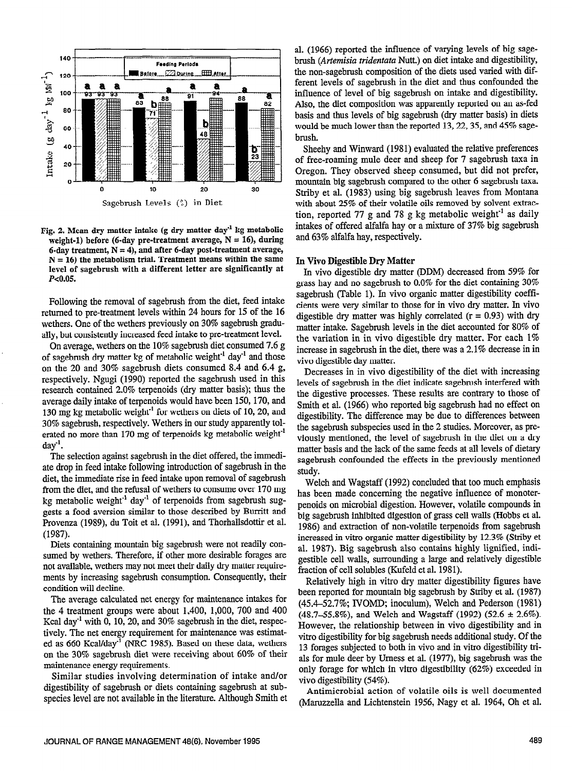

weight-1) before (6-day pre-treatment average,  $N = 16$ ), during 6-day treatment,  $N = 4$ ), and after 6-day post-treatment average.  $N = 16$ ) the metabolism trial. Treatment means within the same level of sagebrush with a different letter are significantly at In vivo digestible dry matter (DDM) decreased from 59% for  $P_{c0.05}$ 

Following the removal of sagebrush from the diet, feed intake returned to pre-treatment levels within 24 hours for 15 of the 16 wethers. One of the wethers previously on 30% sagebrush gradually, but consistently increased feed intake to pre-treatment level.

On average, wethers on the 10% sagebrush diet consumed 7.6 g of sagebrush dry matter kg of metabolic weight<sup>-1</sup> day<sup>-1</sup> and those on the 20 and 30% sagebrush diets consumed 8.4 and 6.4 g, respectively. Ngugi (1990) reported the sagebrush used in this research contained 2.0% terpenoids (dry matter basis); thus the average daily intake of terpenoids would have been 150,170, and  $30\%$  sagebrush, respectively. Wethers in our study apparently tolented no more than 170 mg of terpenoids kg metabolic weight<sup>-1</sup>  $\text{dav}^1$ .

The selection against sagebrush in the diet offered, the immediate drop in feed intake following introduction of sagebrush in the diet, the immediate rise in feed intake upon removal of sagebrush from the diet, and the refusal of wethers to consume over 170 mg kg metabolic weight<sup>-1</sup> day<sup>-1</sup> of terpenoids from sagebrush suggests a food aversion similar to those described by Burritt and Provenza (1989), du Toit et al. (1991), and Thorhallsdottir et al. (19S7). Diets containing mountain big sagebrush were not readily con-

Diets comaning mountain organized were not readily consumed by wethers. Therefore, if other more desirable forages are not available, wethers may not meet their daily dry matter requiremer available, weiners ling not incer their dairy ary matter require ments by increasing se  $\frac{1}{2}$  average calculated net energy for maintenance interactions for maintenance interactions for maintenance in the set of  $\alpha$ 

the average calculated het energy tor maintenance makes for the 4 treatment groups were about 1,400, 1,000, 700 and 400 Kcal day<sup>-1</sup> with 0, 10, 20, and 30% sagebrush in the diet, respectively. The net energy requirement for maintenance was estimated as 660 Kcal/day<sup>-1</sup> (NRC 1985). Based on these data, wethers on the 30% sagebrush diet were receiving about 60% of their maintenance energy requirements.

Similar studies involving determination of intake and/or digestibility of sagebrush or diets containing sagebrush at subspecies level are not available in the literature. Although Smith et

al. (1966) reported the influence of varying levels of big sage-140 **Feeding Periods brush** (Artemisia tridentata Nutt.) on diet intake and digestibility, 120 **K-L BAGGEREE BAGGEREE ATT ATTENTION** the non-sagebrush composition of the diets used varied with different levels of sagebrush in the diet and thus confounded the influence of level of big sagebrush on intake and digestibility. Also, the diet composition was apparently reported on an as-fed 'h basis and thus levels of big sagebrush (dry matter basis) in diets  $\frac{1}{2}$   $\frac{1}{2}$  would be much lower than the reported 13, 22, 35, and 45% sage-

Sheehy and Winward (1981) evaluated the relative preferences of free-roaming mule deer and sheep for 7 sagebrush taxa in 20 Or Het-Toaning multe deep role of the Secondary of the Secondary of the Secondary of the Secondary of the Secondary Secondary 1991 of the Secondary Secondary Secondary 1991 or Secondary Secondary 1991 or Secondary Secon  $\frac{1}{2}$  mountain big sagebrush compared to the other 6 sagebrush taxa.<br>  $\frac{1}{2}$  10  $\frac{1}{2}$  20  $\frac{1}{2}$  30  $\frac{1}{2}$   $\frac{1}{2}$  (1092) using hig sagebrush leaves from Montana Striby et al. (1983) using big sagebrush leaves from Montana Sagebrush Levels  $\binom{6}{2}$  in Diet with about 25% of their volatile oils removed by solvent extraction, reported 77 g and 78 g kg metabolic weight<sup>1</sup> as daily Fig. 2. Mean dry matter intake (g dry matter day<sup>-1</sup> kg metabolic intakes of offered alfalfa hay or a mixture of 37% big sagebrush weight 1) before (6.dov pre-treatment average  $N = 16$ ) during and 63% alfalfa hay, respect

# In Vivo Digestible Dry Matter

grass hay and no sagebrush to 0.0% for the diet containing 30% sagebrush (Table 1). In vivo organic matter digestibility coefficients were very similar to those for in vivo dry matter. In vivo digestible dry matter was highly correlated  $(r = 0.93)$  with dry matter intake. Sagebrush levels in the diet accounted for SO% of the variation in in vivo digestible dry matter. For each 1% increase in sagebrush in the diet, there was a 2.1% decrease in in vivo digestible day matter.

Decreases in in vivo digestibility of the diet with increasing levels of sagebrush in the diet indicate sagebrush interfered with the digestive processes. These results are contrary to those of 130 mg kg metabolic weight<sup>-1</sup> for wethers on diets of 10, 20, and<br>
130 mg kg metabolic weight<sup>-1</sup> for wethers on diets of 10, 20, and digestibility. The difference may be due to differences between Smith et al. (1966) who reported big sagebrush had no effect on digestibility. The difference may be due to differences between the sagebrush subspecies used in the 2 studies. Moreover, as previously mentioned, the level of sagebrush in the diet on a dry matter basis and the lack of the same feeds at all levels of dietary sagebrush confounded the effects in the previously mentioned study.

> Welch and Wagstaff (1992) concluded that too much emphasis has been made concerning the negative influence of monoterpenoids on microbial digestion. However, volatile compounds in  $p_{\text{c}}$  big sagestion of  $q_{\text{c}}$  walls compounds in ng sagebrush himonco digestion of grass cent wans (11000s et al. 1986) and extraction of non-volatile terpenoids from sagebrush increased in vitro organic matter digestibility by 12.3% (Striby et al. 1987). Big sagebrush also contains highly lignified, indial. 1967). Big sagebrush also comains inginy ngunieu, muigesuble cell walls, surfounding a large and  $\epsilon$ . fraction of cell solubles (Kufeld et al. 1981).

> Relatively high in vitro dry matter digestibility figures have been reported for mountain big sagebrush by Striby et al. (1987)  $(45.4-52.7\%; IVOMD; inoculum)$ , Welch and Pederson  $(1981)$ .  $(48.7-55.8\%)$ , and Welch and Wagstaff  $(1992)$   $(52.6 \pm 2.6\%)$ . However, the relationship between in vivo digestibility and in vitro digestibility for big sagebrush needs additional study. Of the 13 for ages subjected to both in vivo and in vitro digestibility trials for mule deer by Urness et al. (1977), big sagebrush was the only forage for which in vitro digestibility (62%) exceeded in vivo digestibility  $(54%)$ .

> (Maruzzella and Lichtenstein 1956, Nagy et al. 1964, Oh et al.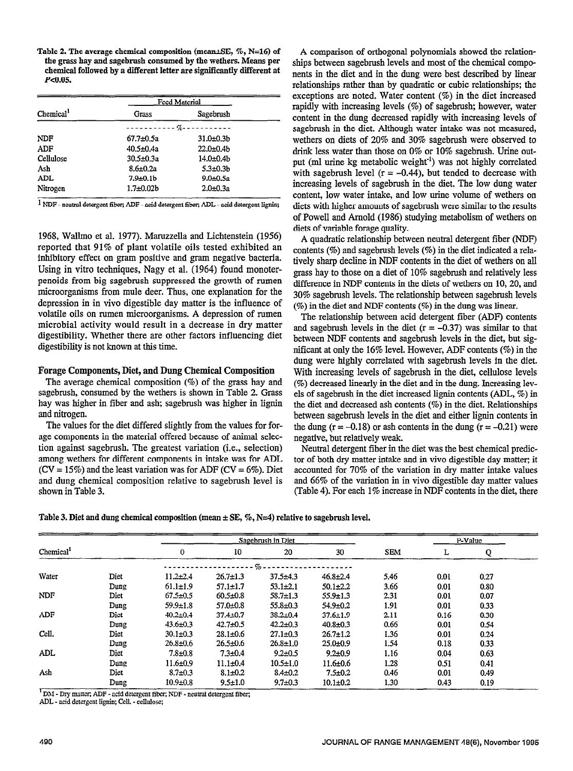Table 2. The average chemical composition (mean $\pm$ SE, %, N=16) of the grass hay and sagebrush consamed by the wethers. Means per chemical followed by a different letter are significantly different at  $P<0.05$ .

|                       | <b>Feed Material</b> |                  |  |  |  |
|-----------------------|----------------------|------------------|--|--|--|
| Chemical <sup>1</sup> | Grass                | Sagebrush        |  |  |  |
|                       |                      |                  |  |  |  |
| <b>NDF</b>            | $67.7 + 0.5a$        | $31.0 \pm 0.3 b$ |  |  |  |
| ADF                   | 40.5±0.4a            | $22.0 \pm 0.4$ b |  |  |  |
| Cellulose             | $30.5 \pm 0.3a$      | $14.0 + 0.4b$    |  |  |  |
| Ash                   | $8.6 \pm 0.2a$       | $5.3 + 0.3b$     |  |  |  |
| ADL                   | $7.9 \pm 0.1$ b      | $9.0 + 0.5a$     |  |  |  |
| Nitrogen              | $1.7 + 0.02b$        | $2.0 \pm 0.3a$   |  |  |  |

 $1$  NDF - neutral detergent fiber; ADF - acid detergent fiber; ADL - acid detergent lignin;

1968, Wallmo et al. 1977). Maruzzella and Lichtenstein (1956) reported that 91% of plant volatile oils tested exhibited an inhibitory effect on gram positive and gram negative bacteria. Using in vitro techniques, Nagy et al. (1964) found monoterpenoids from big sagebrush suppressed the growth of rumen microorganisms from mule deer. Thus, one explanation for the depression in in viva digestible day matter is the influence of volatile oils on rumen microorganisms. A depression of rumen microbial activity would result in a decrease in dry matter digestibility. Whether there are other factors influencing diet digestibility is not known at this time.

#### Forage Components, Diet, and Dung Chemical Composition

The average chemical composition (%) of the grass hay and sagebrush, consumed by the wethers is shown in Table 2. Grass hay was higher in fiber and ash; sagebrush was higher in lignin and nitrogen.

The values for the diet differed slightly from the values for forage components in the material offered because of animal selection against sagebrush. The greatest variation (i.e., selection) among wethers for different components in intake was for ADL  $(CV = 15\%)$  and the least variation was for ADF  $(CV = 6\%)$ . Diet and dung chemical composition relative to sagebrush level is shown in Table 3.

A comparison of orthogonal polynomials showed the relationships between sagebrush levels and most of the chemical components in the diet and in the dung were best described by linear relationships rather than by quadratic or cubic relationships; the exceptions are noted. Water content (%) in the diet increased rapidly with increasing levels (%) of sagebrush, however, water content in the dung decreased rapidly with increasing levels of sagebrush in the diet. Although water intake was not measured, wethers on diets of 20% and 30% sagebrush were observed to drink less water than those on 0% or 10% sagebrush. Urine output (ml urine kg metabolic weight<sup>-1</sup>) was not highly correlated with sagebrush level  $(r = -0.44)$ , but tended to decrease with increasing levels of sagebrush in the diet. The low dung water content, low water intake, and low mine volume of wethers on diets with higher amounts of sagebrush were similar to the results of Powell and Arnold (1986) studying metabolism of wethers on diets of variable forage quality.

A quadratic relationship between neutral detergent fiber (NDF) contents (%) and sagebrush levels (%) in the diet indicated a relatively sharp decline in NDF contents in the diet of wethers on all grass hay to those on a diet of 10% sagebrush and relatively less difference in NDF contents in the diets of wethers on 10,20, and 30% sagebrush levels. The relationship between sagebrush levels (%) in the diet and NDF contents (%) in the dung was linear.

The relationship between acid detergent fiber (ADF) contents and sagebrush levels in the diet  $(r = -0.37)$  was similar to that between NDF contents and sagebrush levels in the diet, but significant at only the 16% level. However, ADF contents (%) in the dung were highly correlated with sagebrush levels in the diet. With increasing levels of sagebrush in the diet, cellulose levels (%) decreased linearly in the diet and in the dung. Increasing levels of sagebrush in the diet increased lignin contents (ADL, %) in the diet and decreased ash contents (%) in the diet. Relationships between sagebrush levels in the diet and either lignin contents in the dung  $(r = -0.18)$  or ash contents in the dung  $(r = -0.21)$  were negative, but relatively weak.

Neutral detergent fiber in the diet was the best chemical predictor of both dry matter intake and in vivo digestible day matter; it accounted for 70% of the variation in dry matter intake values and 66% of the variation in in vivo digestible day matter values (Table 4). For each 1% increase in NDF contents in the diet, there

|  |  | Table 3. Diet and dung chemical composition (mean $\pm$ SE, $\%$ , N=4) relative to sagebrush level. |
|--|--|------------------------------------------------------------------------------------------------------|

|                       |       |                |                | Sagebrush in Diet |                |            |      | P-Value |  |
|-----------------------|-------|----------------|----------------|-------------------|----------------|------------|------|---------|--|
| Chemical <sup>1</sup> |       | 0              | 10             | 20                | 30             | <b>SEM</b> | ┻    |         |  |
|                       |       |                |                | $-90-$            |                |            |      |         |  |
| Water                 | Diet  | $11.2 \pm 2.4$ | $26.7 \pm 1.3$ | $37.5 + 4.3$      | $46.8 \pm 2.4$ | 5.46       | 0.01 | 0.27    |  |
|                       | Dung  | $61.1 \pm 1.9$ | $57.1 \pm 1.7$ | $53.1 \pm 2.1$    | $50.1 \pm 2.2$ | 3.66       | 0.01 | 0.80    |  |
| <b>NDF</b>            | Diet. | $67.5 \pm 0.5$ | $60.5 \pm 0.8$ | $58.7 \pm 1.3$    | $55.9 \pm 1.3$ | 2.31       | 0.01 | 0.07    |  |
|                       | Dung  | $59.9 \pm 1.8$ | $57.0 \pm 0.8$ | $55.8 \pm 0.3$    | $54.9 \pm 0.2$ | 1.91       | 0.01 | 0.33    |  |
| ADF                   | Diet. | $40.2 \pm 0.4$ | $37.4 \pm 0.7$ | $38.2 \pm 0.4$    | $37.6 \pm 1.9$ | 2.11       | 0.16 | 0.30    |  |
|                       | Dung  | $43.6 \pm 0.3$ | $42.7 \pm 0.5$ | $42.2 \pm 0.3$    | $40.8 \pm 0.3$ | 0.66       | 0.01 | 0.54    |  |
| Cell.                 | Diet  | $30.1 \pm 0.3$ | $28.1 \pm 0.6$ | $27.1 \pm 0.3$    | $26.7 \pm 1.2$ | 1.36       | 0.01 | 0.24    |  |
|                       | Dung  | $26.8 \pm 0.6$ | $26.5 \pm 0.6$ | $26.8 \pm 1.0$    | $25.0 + 0.9$   | 1.54       | 0.18 | 0.33    |  |
| <b>ADL</b>            | Diet  | $7.8 + 0.8$    | $7.3 \pm 0.4$  | $9.2 \pm 0.5$     | $9.2 \pm 0.9$  | 1.16       | 0.04 | 0.63    |  |
|                       | Dung  | $11.6 \pm 0.9$ | $11.1 \pm 0.4$ | $10.5 \pm 1.0$    | $11.6 \pm 0.6$ | 1.28       | 0.51 | 0.41    |  |
| Ash                   | Diet  | $8.7 \pm 0.3$  | $8.1 \pm 0.2$  | $8.4 \pm 0.2$     | $7.5 \pm 0.2$  | 0.46       | 0.01 | 0.49    |  |
|                       | Dung  | $10.9 + 0.8$   | $9.5 \pm 1.0$  | $9.7 \pm 0.3$     | $10.1 \pm 0.2$ | 1.30       | 0.43 | 0.19    |  |

 ${}^{1}$ DM - Dry matter; ADF - acid detergent fiber; ADF - neutral detergent fiber; ADL - acid detergent lignin; Cell. - cellulose;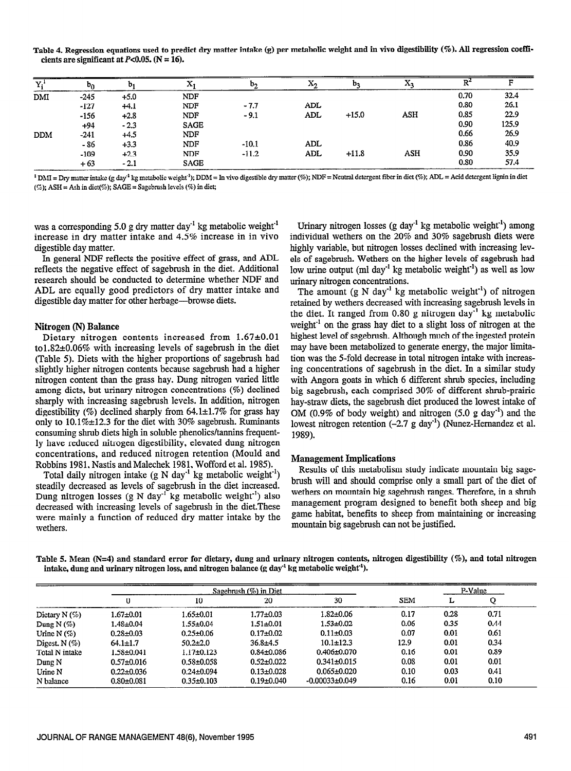Table 4. Regression equations used to predict dry matter intake (g) per metabolic weight and in vivo digestibiity (%). All regression coefficients are significant at  $P<0.05$ . (N = 16).

| Y.         | $b_0$  | b <sub>1</sub> | A           | b,      | ふっ  | b <sub>3</sub> | $\mathbf{A}$ |      |       |
|------------|--------|----------------|-------------|---------|-----|----------------|--------------|------|-------|
| DMI        | $-245$ | $+5.0$         | <b>NDF</b>  |         |     |                |              | 0.70 | 32.4  |
|            | $-127$ | $+4.1$         | <b>NDF</b>  | $-7.7$  | ADL |                |              | 0.80 | 26.1  |
|            | $-156$ | $+2.8$         | NDF         | $-9.1$  | ADL | $+15.0$        | ASH          | 0.85 | 22.9  |
|            | $+94$  | $-2.3$         | <b>SAGE</b> |         |     |                |              | 0.90 | 125.9 |
| <b>DDM</b> | $-241$ | $+4.5$         | <b>NDF</b>  |         |     |                |              | 0.66 | 26.9  |
|            | $-86$  | $+3.3$         | <b>NDF</b>  | $-10.1$ | ADL |                |              | 0.86 | 40.9  |
|            | $-109$ | $+2.3$         | <b>NDF</b>  | $-11.2$ | ADL | $+11.8$        | <b>ASH</b>   | 0.90 | 35.9  |
|            | $+63$  | $-2.1$         | <b>SAGE</b> |         |     |                |              | 0.80 | 57.4  |

<sup>1</sup> DMI = Dry matter intake (g day<sup>-1</sup> kg metabolic weight<sup>-1</sup>); DDM = In vivo digestible dry matter (%); NDF = Neutral detergent fiber in diet (%); ADL = Acid detergent lignin in diet  $(5)$ ; ASH = Ash in diet(%); SAGE = Sagebrush levels (%) in diet;

was a corresponding 5.0 g dry matter day<sup>-1</sup> kg metabolic weight<sup>-1</sup> increase in dry matter intake and 4.5% increase in in vivo digestible day matter.

In general NDF reflects the positive effect of grass, and ADL reflects the negative effect of sagebrush in the diet. Additional research should be conducted to determine whether NDF and ADL are equally good predictors of dry matter intake and digestible day matter for other herbage—browse diets.

#### Nitrogen (N) Balance

Dietary nitrogen contents increased from  $1.67 \pm 0.01$ tol.S2+0.06% with increasing levels of sagebrush in the diet (Table 5). Diets with the higher proportions of sagebrush had slightly higher nitrogen contents because sagebrush had a higher nitrogen content than the grass hay. Dung nitrogen varied little among diets, but urinary nitrogen concentrations (%) declined sharply with increasing sagebrush levels. In addition, nitrogen digestibility (%) declined sharply from  $64.1 \pm 1.7\%$  for grass hay only to  $10.1\% \pm 12.3$  for the diet with 30% sagebrush. Ruminants consuming shrub diets high in soluble phenolics/tannins frequently have reduced nitrogen digestibility, elevated dung nitrogen concentrations, and reduced nitrogen retention (Mould and Robbins 1981, Nastis and Malechek 1981, Wofford et al. 19SS).

Total daily nitrogen intake  $(g N day^{-1} kg$  metabolic weight<sup>-1</sup>) steadily decreased as levels of sagebrush in the diet increased. Dung nitrogen losses (g N day<sup>-1</sup> kg metabolic weight<sup>-1</sup>) also decreased with increasing levels of sagebrush in the diet.These were mainly a function of reduced dry matter intake by the wethers.

Urinary nitrogen losses (g day<sup>-1</sup> kg metabolic weight<sup>-1</sup>) among individual wethers on the 20% and 30% sagebrush diets were highly variable, but nitrogen losses declined with increasing levels of sagebrush. Wethers on the higher levels of sagebrush had low urine output (ml day-' kg metabolic weight') as well as low urinary nitrogen concentrations.

The amount  $(g N day^{-1} kg$  metabolic weight<sup>-1</sup>) of nitrogen retained by wethers decreased with increasing sagebrush levels in the diet. It ranged from  $0.80$  g nitrogen day<sup>-1</sup> kg metabolic weight $<sup>1</sup>$  on the grass hay diet to a slight loss of nitrogen at the</sup> highest level of sagebrush. Although much of the ingested protein may have been metabolized to generate energy, the major limitation was the S-fold decrease in total nitrogen intake with increasing concentrations of sagebrush in the diet. In a similar study with Angora goats in which 6 different shrub species, including big sagebrush, each comprised 30% of different shrub-prairie hay-straw diets, the sagebrush diet produced the lowest intake of OM (0.9% of body weight) and nitrogen  $(5.0 \text{ g day}^{-1})$  and the lowest nitrogen retention (-2.7 g day-') (Nunez-Hemandez et al. 1989).

#### Management Implications

Results of this metabolism study indicate mountain big sagebrush will and should comprise only a small part of the diet of wethers on mountain big sagebrush ranges. Therefore, in a shrub management program designed to benefit both sheep and big game habitat, benefits to sheep from maintaining or increasing mountain big sagebrush can not be justified.

Table 5. Mean (N=4) and standard error for dietary, dung and urinary nitrogen contents, nitrogen digestibility (%), and total nitrogen intake, dung and urinary nitrogen loss, and nitrogen balance (g day<sup>-1</sup> kg metabolic weight<sup>-1</sup>).

|                   |                  |                  |                  | P-Value            |            |      |      |
|-------------------|------------------|------------------|------------------|--------------------|------------|------|------|
|                   |                  | 10               | 20               | 30                 | <b>SEM</b> | L    |      |
| Dietary $N(\%)$   | $1.67 \pm 0.01$  | 1.65±0.01        | $1.77 \pm 0.03$  | $1.82 \pm 0.06$    | 0.17       | 0.28 | 0.71 |
| Dung N $(\%)$     | 1.48±0.04        | 1.55±0.04        | $1.51 \pm 0.01$  | $1.53 \pm 0.02$    | 0.06       | 0.35 | 0.44 |
| Urine N $($ % $)$ | $0.28 + 0.03$    | $0.25 \pm 0.06$  | $0.17 \pm 0.02$  | $0.11 \pm 0.03$    | 0.07       | 0.01 | 0.61 |
| Digest, $N$ (%)   | $64.1 \pm 1.7$   | $50.2 \pm 2.0$   | $36.8 + 4.5$     | $10.1 \pm 12.3$    | 12.9       | 0.01 | 0.34 |
| Total N intake    | $1.58 + 0.041$   | $1.17 \pm 0.123$ | $0.84 \pm 0.086$ | $0.406 \pm 0.070$  | 0.16       | 0.01 | 0.89 |
| $D$ ung $N$       | $0.57 \pm 0.016$ | $0.58 \pm 0.058$ | $0.52 \pm 0.022$ | $0.341 \pm 0.015$  | 0.08       | 0.01 | 0.01 |
| Urine N           | $0.22 \pm 0.036$ | $0.24 \pm 0.094$ | $0.13 \pm 0.028$ | $0.065 \pm 0.020$  | 0.10       | 0.03 | 0.41 |
| N balance         | $0.80 \pm 0.081$ | $0.35 \pm 0.103$ | $0.19 \pm 0.040$ | $-0.00033\pm0.049$ | 0.16       | 0.01 | 0.10 |